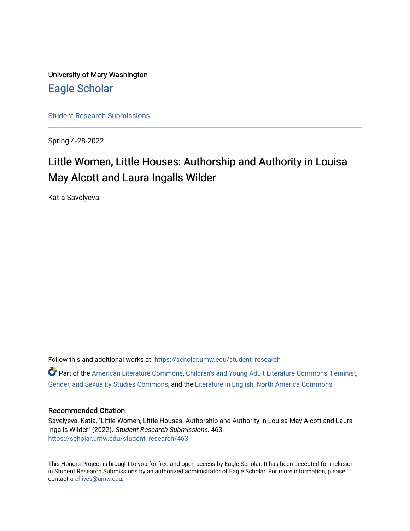University of Mary Washington [Eagle Scholar](https://scholar.umw.edu/) 

[Student Research Submissions](https://scholar.umw.edu/student_research) 

Spring 4-28-2022

# Little Women, Little Houses: Authorship and Authority in Louisa May Alcott and Laura Ingalls Wilder

Katia Savelyeva

Follow this and additional works at: [https://scholar.umw.edu/student\\_research](https://scholar.umw.edu/student_research?utm_source=scholar.umw.edu%2Fstudent_research%2F463&utm_medium=PDF&utm_campaign=PDFCoverPages)

Part of the [American Literature Commons](https://network.bepress.com/hgg/discipline/441?utm_source=scholar.umw.edu%2Fstudent_research%2F463&utm_medium=PDF&utm_campaign=PDFCoverPages), [Children's and Young Adult Literature Commons](https://network.bepress.com/hgg/discipline/1289?utm_source=scholar.umw.edu%2Fstudent_research%2F463&utm_medium=PDF&utm_campaign=PDFCoverPages), [Feminist,](https://network.bepress.com/hgg/discipline/559?utm_source=scholar.umw.edu%2Fstudent_research%2F463&utm_medium=PDF&utm_campaign=PDFCoverPages)  [Gender, and Sexuality Studies Commons](https://network.bepress.com/hgg/discipline/559?utm_source=scholar.umw.edu%2Fstudent_research%2F463&utm_medium=PDF&utm_campaign=PDFCoverPages), and the [Literature in English, North America Commons](https://network.bepress.com/hgg/discipline/458?utm_source=scholar.umw.edu%2Fstudent_research%2F463&utm_medium=PDF&utm_campaign=PDFCoverPages) 

### Recommended Citation

Savelyeva, Katia, "Little Women, Little Houses: Authorship and Authority in Louisa May Alcott and Laura Ingalls Wilder" (2022). Student Research Submissions. 463. [https://scholar.umw.edu/student\\_research/463](https://scholar.umw.edu/student_research/463?utm_source=scholar.umw.edu%2Fstudent_research%2F463&utm_medium=PDF&utm_campaign=PDFCoverPages)

This Honors Project is brought to you for free and open access by Eagle Scholar. It has been accepted for inclusion in Student Research Submissions by an authorized administrator of Eagle Scholar. For more information, please contact [archives@umw.edu](mailto:archives@umw.edu).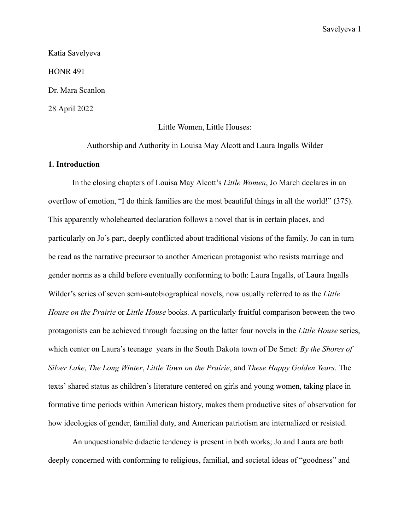Katia Savelyeva HONR 491 Dr. Mara Scanlon 28 April 2022

Little Women, Little Houses:

Authorship and Authority in Louisa May Alcott and Laura Ingalls Wilder

# **1. Introduction**

In the closing chapters of Louisa May Alcott's *Little Women*, Jo March declares in an overflow of emotion, "I do think families are the most beautiful things in all the world!" (375). This apparently wholehearted declaration follows a novel that is in certain places, and particularly on Jo's part, deeply conflicted about traditional visions of the family. Jo can in turn be read as the narrative precursor to another American protagonist who resists marriage and gender norms as a child before eventually conforming to both: Laura Ingalls, of Laura Ingalls Wilder's series of seven semi-autobiographical novels, now usually referred to as the *Little House on the Prairie* or *Little House* books. A particularly fruitful comparison between the two protagonists can be achieved through focusing on the latter four novels in the *Little House* series, which center on Laura's teenage years in the South Dakota town of De Smet: *By the Shores of Silver Lake*, *The Long Winter*, *Little Town on the Prairie*, and *These Happy Golden Years*. The texts' shared status as children's literature centered on girls and young women, taking place in formative time periods within American history, makes them productive sites of observation for how ideologies of gender, familial duty, and American patriotism are internalized or resisted.

An unquestionable didactic tendency is present in both works; Jo and Laura are both deeply concerned with conforming to religious, familial, and societal ideas of "goodness" and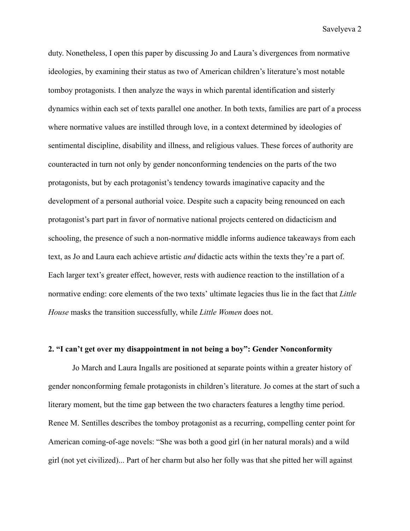duty. Nonetheless, I open this paper by discussing Jo and Laura's divergences from normative ideologies, by examining their status as two of American children's literature's most notable tomboy protagonists. I then analyze the ways in which parental identification and sisterly dynamics within each set of texts parallel one another. In both texts, families are part of a process where normative values are instilled through love, in a context determined by ideologies of sentimental discipline, disability and illness, and religious values. These forces of authority are counteracted in turn not only by gender nonconforming tendencies on the parts of the two protagonists, but by each protagonist's tendency towards imaginative capacity and the development of a personal authorial voice. Despite such a capacity being renounced on each protagonist's part part in favor of normative national projects centered on didacticism and schooling, the presence of such a non-normative middle informs audience takeaways from each text, as Jo and Laura each achieve artistic *and* didactic acts within the texts they're a part of. Each larger text's greater effect, however, rests with audience reaction to the instillation of a normative ending: core elements of the two texts' ultimate legacies thus lie in the fact that *Little House* masks the transition successfully, while *Little Women* does not.

# **2. "I can't get over my disappointment in not being a boy": Gender Nonconformity**

Jo March and Laura Ingalls are positioned at separate points within a greater history of gender nonconforming female protagonists in children's literature. Jo comes at the start of such a literary moment, but the time gap between the two characters features a lengthy time period. Renee M. Sentilles describes the tomboy protagonist as a recurring, compelling center point for American coming-of-age novels: "She was both a good girl (in her natural morals) and a wild girl (not yet civilized)... Part of her charm but also her folly was that she pitted her will against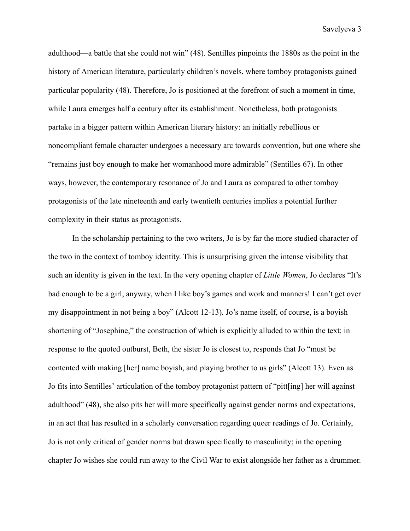adulthood—a battle that she could not win" (48). Sentilles pinpoints the 1880s as the point in the history of American literature, particularly children's novels, where tomboy protagonists gained particular popularity (48). Therefore, Jo is positioned at the forefront of such a moment in time, while Laura emerges half a century after its establishment. Nonetheless, both protagonists partake in a bigger pattern within American literary history: an initially rebellious or noncompliant female character undergoes a necessary arc towards convention, but one where she "remains just boy enough to make her womanhood more admirable" (Sentilles 67). In other ways, however, the contemporary resonance of Jo and Laura as compared to other tomboy protagonists of the late nineteenth and early twentieth centuries implies a potential further complexity in their status as protagonists.

In the scholarship pertaining to the two writers, Jo is by far the more studied character of the two in the context of tomboy identity. This is unsurprising given the intense visibility that such an identity is given in the text. In the very opening chapter of *Little Women*, Jo declares "It's bad enough to be a girl, anyway, when I like boy's games and work and manners! I can't get over my disappointment in not being a boy" (Alcott 12-13). Jo's name itself, of course, is a boyish shortening of "Josephine," the construction of which is explicitly alluded to within the text: in response to the quoted outburst, Beth, the sister Jo is closest to, responds that Jo "must be contented with making [her] name boyish, and playing brother to us girls" (Alcott 13). Even as Jo fits into Sentilles' articulation of the tomboy protagonist pattern of "pitt[ing] her will against adulthood" (48), she also pits her will more specifically against gender norms and expectations, in an act that has resulted in a scholarly conversation regarding queer readings of Jo. Certainly, Jo is not only critical of gender norms but drawn specifically to masculinity; in the opening chapter Jo wishes she could run away to the Civil War to exist alongside her father as a drummer.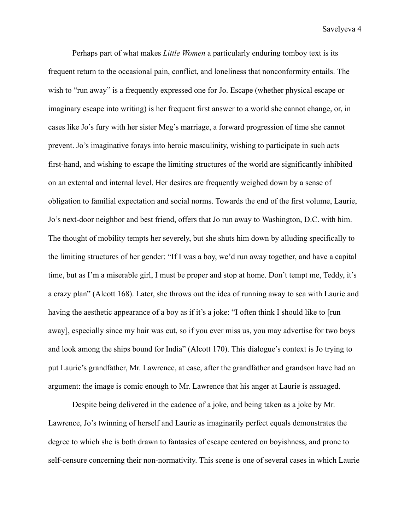Perhaps part of what makes *Little Women* a particularly enduring tomboy text is its frequent return to the occasional pain, conflict, and loneliness that nonconformity entails. The wish to "run away" is a frequently expressed one for Jo. Escape (whether physical escape or imaginary escape into writing) is her frequent first answer to a world she cannot change, or, in cases like Jo's fury with her sister Meg's marriage, a forward progression of time she cannot prevent. Jo's imaginative forays into heroic masculinity, wishing to participate in such acts first-hand, and wishing to escape the limiting structures of the world are significantly inhibited on an external and internal level. Her desires are frequently weighed down by a sense of obligation to familial expectation and social norms. Towards the end of the first volume, Laurie, Jo's next-door neighbor and best friend, offers that Jo run away to Washington, D.C. with him. The thought of mobility tempts her severely, but she shuts him down by alluding specifically to the limiting structures of her gender: "If I was a boy, we'd run away together, and have a capital time, but as I'm a miserable girl, I must be proper and stop at home. Don't tempt me, Teddy, it's a crazy plan" (Alcott 168). Later, she throws out the idea of running away to sea with Laurie and having the aesthetic appearance of a boy as if it's a joke: "I often think I should like to [run] away], especially since my hair was cut, so if you ever miss us, you may advertise for two boys and look among the ships bound for India" (Alcott 170). This dialogue's context is Jo trying to put Laurie's grandfather, Mr. Lawrence, at ease, after the grandfather and grandson have had an argument: the image is comic enough to Mr. Lawrence that his anger at Laurie is assuaged.

Despite being delivered in the cadence of a joke, and being taken as a joke by Mr. Lawrence, Jo's twinning of herself and Laurie as imaginarily perfect equals demonstrates the degree to which she is both drawn to fantasies of escape centered on boyishness, and prone to self-censure concerning their non-normativity. This scene is one of several cases in which Laurie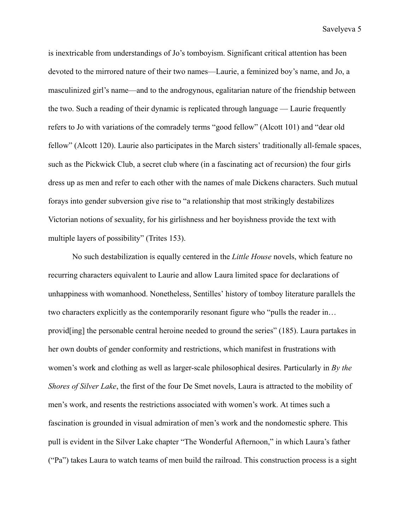is inextricable from understandings of Jo's tomboyism. Significant critical attention has been devoted to the mirrored nature of their two names—Laurie, a feminized boy's name, and Jo, a masculinized girl's name—and to the androgynous, egalitarian nature of the friendship between the two. Such a reading of their dynamic is replicated through language — Laurie frequently refers to Jo with variations of the comradely terms "good fellow" (Alcott 101) and "dear old fellow" (Alcott 120). Laurie also participates in the March sisters' traditionally all-female spaces, such as the Pickwick Club, a secret club where (in a fascinating act of recursion) the four girls dress up as men and refer to each other with the names of male Dickens characters. Such mutual forays into gender subversion give rise to "a relationship that most strikingly destabilizes Victorian notions of sexuality, for his girlishness and her boyishness provide the text with multiple layers of possibility" (Trites 153).

No such destabilization is equally centered in the *Little House* novels, which feature no recurring characters equivalent to Laurie and allow Laura limited space for declarations of unhappiness with womanhood. Nonetheless, Sentilles' history of tomboy literature parallels the two characters explicitly as the contemporarily resonant figure who "pulls the reader in… provid[ing] the personable central heroine needed to ground the series" (185). Laura partakes in her own doubts of gender conformity and restrictions, which manifest in frustrations with women's work and clothing as well as larger-scale philosophical desires. Particularly in *By the Shores of Silver Lake*, the first of the four De Smet novels, Laura is attracted to the mobility of men's work, and resents the restrictions associated with women's work. At times such a fascination is grounded in visual admiration of men's work and the nondomestic sphere. This pull is evident in the Silver Lake chapter "The Wonderful Afternoon," in which Laura's father ("Pa") takes Laura to watch teams of men build the railroad. This construction process is a sight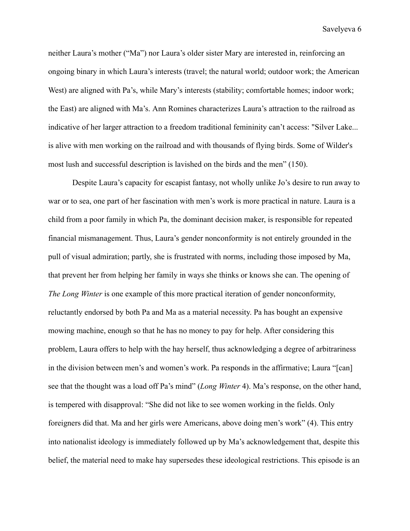neither Laura's mother ("Ma") nor Laura's older sister Mary are interested in, reinforcing an ongoing binary in which Laura's interests (travel; the natural world; outdoor work; the American West) are aligned with Pa's, while Mary's interests (stability; comfortable homes; indoor work; the East) are aligned with Ma's. Ann Romines characterizes Laura's attraction to the railroad as indicative of her larger attraction to a freedom traditional femininity can't access: "Silver Lake... is alive with men working on the railroad and with thousands of flying birds. Some of Wilder's most lush and successful description is lavished on the birds and the men" (150).

Despite Laura's capacity for escapist fantasy, not wholly unlike Jo's desire to run away to war or to sea, one part of her fascination with men's work is more practical in nature. Laura is a child from a poor family in which Pa, the dominant decision maker, is responsible for repeated financial mismanagement. Thus, Laura's gender nonconformity is not entirely grounded in the pull of visual admiration; partly, she is frustrated with norms, including those imposed by Ma, that prevent her from helping her family in ways she thinks or knows she can. The opening of *The Long Winter* is one example of this more practical iteration of gender nonconformity, reluctantly endorsed by both Pa and Ma as a material necessity. Pa has bought an expensive mowing machine, enough so that he has no money to pay for help. After considering this problem, Laura offers to help with the hay herself, thus acknowledging a degree of arbitrariness in the division between men's and women's work. Pa responds in the affirmative; Laura "[can] see that the thought was a load off Pa's mind" (*Long Winter* 4). Ma's response, on the other hand, is tempered with disapproval: "She did not like to see women working in the fields. Only foreigners did that. Ma and her girls were Americans, above doing men's work" (4). This entry into nationalist ideology is immediately followed up by Ma's acknowledgement that, despite this belief, the material need to make hay supersedes these ideological restrictions. This episode is an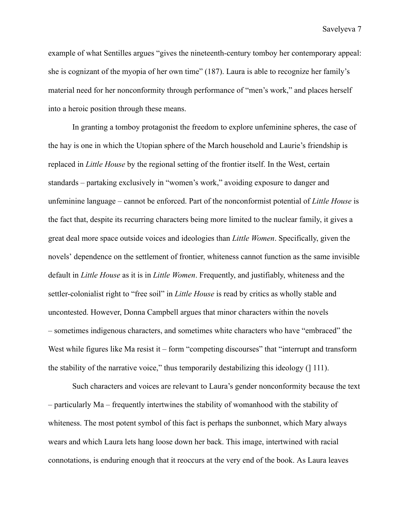example of what Sentilles argues "gives the nineteenth-century tomboy her contemporary appeal: she is cognizant of the myopia of her own time" (187). Laura is able to recognize her family's material need for her nonconformity through performance of "men's work," and places herself into a heroic position through these means.

In granting a tomboy protagonist the freedom to explore unfeminine spheres, the case of the hay is one in which the Utopian sphere of the March household and Laurie's friendship is replaced in *Little House* by the regional setting of the frontier itself. In the West, certain standards – partaking exclusively in "women's work," avoiding exposure to danger and unfeminine language – cannot be enforced. Part of the nonconformist potential of *Little House* is the fact that, despite its recurring characters being more limited to the nuclear family, it gives a great deal more space outside voices and ideologies than *Little Women*. Specifically, given the novels' dependence on the settlement of frontier, whiteness cannot function as the same invisible default in *Little House* as it is in *Little Women*. Frequently, and justifiably, whiteness and the settler-colonialist right to "free soil" in *Little House* is read by critics as wholly stable and uncontested. However, Donna Campbell argues that minor characters within the novels – sometimes indigenous characters, and sometimes white characters who have "embraced" the West while figures like Ma resist it – form "competing discourses" that "interrupt and transform" the stability of the narrative voice," thus temporarily destabilizing this ideology (] 111).

Such characters and voices are relevant to Laura's gender nonconformity because the text – particularly Ma – frequently intertwines the stability of womanhood with the stability of whiteness. The most potent symbol of this fact is perhaps the sunbonnet, which Mary always wears and which Laura lets hang loose down her back. This image, intertwined with racial connotations, is enduring enough that it reoccurs at the very end of the book. As Laura leaves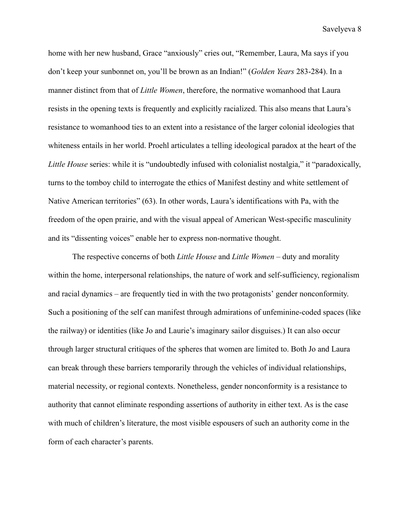home with her new husband, Grace "anxiously" cries out, "Remember, Laura, Ma says if you don't keep your sunbonnet on, you'll be brown as an Indian!" (*Golden Years* 283-284). In a manner distinct from that of *Little Women*, therefore, the normative womanhood that Laura resists in the opening texts is frequently and explicitly racialized. This also means that Laura's resistance to womanhood ties to an extent into a resistance of the larger colonial ideologies that whiteness entails in her world. Proehl articulates a telling ideological paradox at the heart of the *Little House* series: while it is "undoubtedly infused with colonialist nostalgia," it "paradoxically, turns to the tomboy child to interrogate the ethics of Manifest destiny and white settlement of Native American territories" (63). In other words, Laura's identifications with Pa, with the freedom of the open prairie, and with the visual appeal of American West-specific masculinity and its "dissenting voices" enable her to express non-normative thought.

The respective concerns of both *Little House* and *Little Women* – duty and morality within the home, interpersonal relationships, the nature of work and self-sufficiency, regionalism and racial dynamics – are frequently tied in with the two protagonists' gender nonconformity. Such a positioning of the self can manifest through admirations of unfeminine-coded spaces (like the railway) or identities (like Jo and Laurie's imaginary sailor disguises.) It can also occur through larger structural critiques of the spheres that women are limited to. Both Jo and Laura can break through these barriers temporarily through the vehicles of individual relationships, material necessity, or regional contexts. Nonetheless, gender nonconformity is a resistance to authority that cannot eliminate responding assertions of authority in either text. As is the case with much of children's literature, the most visible espousers of such an authority come in the form of each character's parents.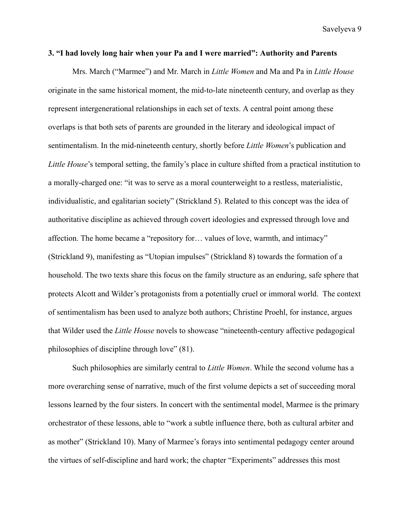#### **3. "I had lovely long hair when your Pa and I were married": Authority and Parents**

Mrs. March ("Marmee") and Mr. March in *Little Women* and Ma and Pa in *Little House* originate in the same historical moment, the mid-to-late nineteenth century, and overlap as they represent intergenerational relationships in each set of texts. A central point among these overlaps is that both sets of parents are grounded in the literary and ideological impact of sentimentalism. In the mid-nineteenth century, shortly before *Little Women*'s publication and *Little House*'s temporal setting, the family's place in culture shifted from a practical institution to a morally-charged one: "it was to serve as a moral counterweight to a restless, materialistic, individualistic, and egalitarian society" (Strickland 5). Related to this concept was the idea of authoritative discipline as achieved through covert ideologies and expressed through love and affection. The home became a "repository for… values of love, warmth, and intimacy" (Strickland 9), manifesting as "Utopian impulses" (Strickland 8) towards the formation of a household. The two texts share this focus on the family structure as an enduring, safe sphere that protects Alcott and Wilder's protagonists from a potentially cruel or immoral world. The context of sentimentalism has been used to analyze both authors; Christine Proehl, for instance, argues that Wilder used the *Little House* novels to showcase "nineteenth-century affective pedagogical philosophies of discipline through love" (81).

Such philosophies are similarly central to *Little Women*. While the second volume has a more overarching sense of narrative, much of the first volume depicts a set of succeeding moral lessons learned by the four sisters. In concert with the sentimental model, Marmee is the primary orchestrator of these lessons, able to "work a subtle influence there, both as cultural arbiter and as mother" (Strickland 10). Many of Marmee's forays into sentimental pedagogy center around the virtues of self-discipline and hard work; the chapter "Experiments" addresses this most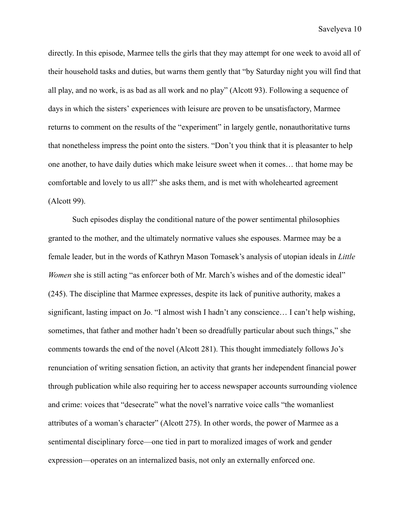directly. In this episode, Marmee tells the girls that they may attempt for one week to avoid all of their household tasks and duties, but warns them gently that "by Saturday night you will find that all play, and no work, is as bad as all work and no play" (Alcott 93). Following a sequence of days in which the sisters' experiences with leisure are proven to be unsatisfactory, Marmee returns to comment on the results of the "experiment" in largely gentle, nonauthoritative turns that nonetheless impress the point onto the sisters. "Don't you think that it is pleasanter to help one another, to have daily duties which make leisure sweet when it comes… that home may be comfortable and lovely to us all?" she asks them, and is met with wholehearted agreement (Alcott 99).

Such episodes display the conditional nature of the power sentimental philosophies granted to the mother, and the ultimately normative values she espouses. Marmee may be a female leader, but in the words of Kathryn Mason Tomasek's analysis of utopian ideals in *Little Women* she is still acting "as enforcer both of Mr. March's wishes and of the domestic ideal" (245). The discipline that Marmee expresses, despite its lack of punitive authority, makes a significant, lasting impact on Jo. "I almost wish I hadn't any conscience… I can't help wishing, sometimes, that father and mother hadn't been so dreadfully particular about such things," she comments towards the end of the novel (Alcott 281). This thought immediately follows Jo's renunciation of writing sensation fiction, an activity that grants her independent financial power through publication while also requiring her to access newspaper accounts surrounding violence and crime: voices that "desecrate" what the novel's narrative voice calls "the womanliest attributes of a woman's character" (Alcott 275). In other words, the power of Marmee as a sentimental disciplinary force—one tied in part to moralized images of work and gender expression—operates on an internalized basis, not only an externally enforced one.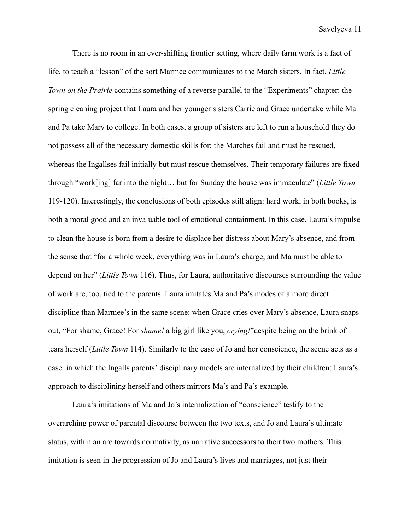There is no room in an ever-shifting frontier setting, where daily farm work is a fact of life, to teach a "lesson" of the sort Marmee communicates to the March sisters. In fact, *Little Town on the Prairie* contains something of a reverse parallel to the "Experiments" chapter: the spring cleaning project that Laura and her younger sisters Carrie and Grace undertake while Ma and Pa take Mary to college. In both cases, a group of sisters are left to run a household they do not possess all of the necessary domestic skills for; the Marches fail and must be rescued, whereas the Ingallses fail initially but must rescue themselves. Their temporary failures are fixed through "work[ing] far into the night… but for Sunday the house was immaculate" (*Little Town* 119-120). Interestingly, the conclusions of both episodes still align: hard work, in both books, is both a moral good and an invaluable tool of emotional containment. In this case, Laura's impulse to clean the house is born from a desire to displace her distress about Mary's absence, and from the sense that "for a whole week, everything was in Laura's charge, and Ma must be able to depend on her" (*Little Town* 116). Thus, for Laura, authoritative discourses surrounding the value of work are, too, tied to the parents. Laura imitates Ma and Pa's modes of a more direct discipline than Marmee's in the same scene: when Grace cries over Mary's absence, Laura snaps out, "For shame, Grace! For *shame!* a big girl like you, *crying!*"despite being on the brink of tears herself (*Little Town* 114). Similarly to the case of Jo and her conscience, the scene acts as a case in which the Ingalls parents' disciplinary models are internalized by their children; Laura's approach to disciplining herself and others mirrors Ma's and Pa's example.

Laura's imitations of Ma and Jo's internalization of "conscience" testify to the overarching power of parental discourse between the two texts, and Jo and Laura's ultimate status, within an arc towards normativity, as narrative successors to their two mothers. This imitation is seen in the progression of Jo and Laura's lives and marriages, not just their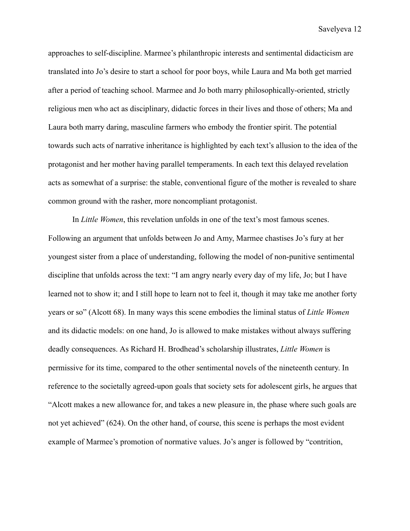approaches to self-discipline. Marmee's philanthropic interests and sentimental didacticism are translated into Jo's desire to start a school for poor boys, while Laura and Ma both get married after a period of teaching school. Marmee and Jo both marry philosophically-oriented, strictly religious men who act as disciplinary, didactic forces in their lives and those of others; Ma and Laura both marry daring, masculine farmers who embody the frontier spirit. The potential towards such acts of narrative inheritance is highlighted by each text's allusion to the idea of the protagonist and her mother having parallel temperaments. In each text this delayed revelation acts as somewhat of a surprise: the stable, conventional figure of the mother is revealed to share common ground with the rasher, more noncompliant protagonist.

In *Little Women*, this revelation unfolds in one of the text's most famous scenes. Following an argument that unfolds between Jo and Amy, Marmee chastises Jo's fury at her youngest sister from a place of understanding, following the model of non-punitive sentimental discipline that unfolds across the text: "I am angry nearly every day of my life, Jo; but I have learned not to show it; and I still hope to learn not to feel it, though it may take me another forty years or so" (Alcott 68). In many ways this scene embodies the liminal status of *Little Women* and its didactic models: on one hand, Jo is allowed to make mistakes without always suffering deadly consequences. As Richard H. Brodhead's scholarship illustrates, *Little Women* is permissive for its time, compared to the other sentimental novels of the nineteenth century. In reference to the societally agreed-upon goals that society sets for adolescent girls, he argues that "Alcott makes a new allowance for, and takes a new pleasure in, the phase where such goals are not yet achieved" (624). On the other hand, of course, this scene is perhaps the most evident example of Marmee's promotion of normative values. Jo's anger is followed by "contrition,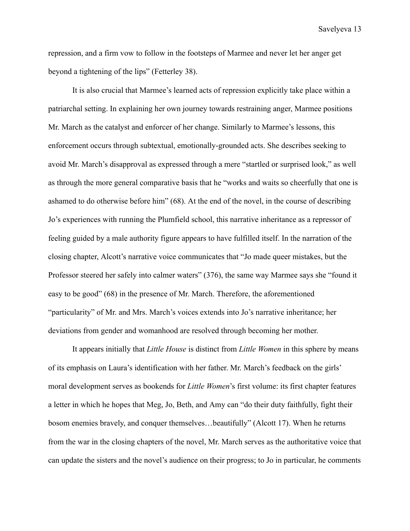repression, and a firm vow to follow in the footsteps of Marmee and never let her anger get beyond a tightening of the lips" (Fetterley 38).

It is also crucial that Marmee's learned acts of repression explicitly take place within a patriarchal setting. In explaining her own journey towards restraining anger, Marmee positions Mr. March as the catalyst and enforcer of her change. Similarly to Marmee's lessons, this enforcement occurs through subtextual, emotionally-grounded acts. She describes seeking to avoid Mr. March's disapproval as expressed through a mere "startled or surprised look," as well as through the more general comparative basis that he "works and waits so cheerfully that one is ashamed to do otherwise before him" (68). At the end of the novel, in the course of describing Jo's experiences with running the Plumfield school, this narrative inheritance as a repressor of feeling guided by a male authority figure appears to have fulfilled itself. In the narration of the closing chapter, Alcott's narrative voice communicates that "Jo made queer mistakes, but the Professor steered her safely into calmer waters" (376), the same way Marmee says she "found it easy to be good" (68) in the presence of Mr. March. Therefore, the aforementioned "particularity" of Mr. and Mrs. March's voices extends into Jo's narrative inheritance; her deviations from gender and womanhood are resolved through becoming her mother.

It appears initially that *Little House* is distinct from *Little Women* in this sphere by means of its emphasis on Laura's identification with her father. Mr. March's feedback on the girls' moral development serves as bookends for *Little Women*'s first volume: its first chapter features a letter in which he hopes that Meg, Jo, Beth, and Amy can "do their duty faithfully, fight their bosom enemies bravely, and conquer themselves…beautifully" (Alcott 17). When he returns from the war in the closing chapters of the novel, Mr. March serves as the authoritative voice that can update the sisters and the novel's audience on their progress; to Jo in particular, he comments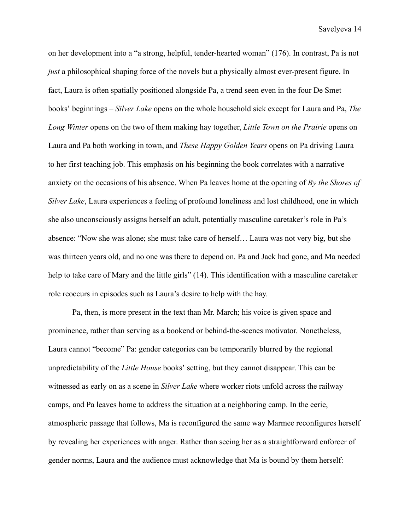on her development into a "a strong, helpful, tender-hearted woman" (176). In contrast, Pa is not *just* a philosophical shaping force of the novels but a physically almost ever-present figure. In fact, Laura is often spatially positioned alongside Pa, a trend seen even in the four De Smet books' beginnings – *Silver Lake* opens on the whole household sick except for Laura and Pa, *The Long Winter* opens on the two of them making hay together, *Little Town on the Prairie* opens on Laura and Pa both working in town, and *These Happy Golden Years* opens on Pa driving Laura to her first teaching job. This emphasis on his beginning the book correlates with a narrative anxiety on the occasions of his absence. When Pa leaves home at the opening of *By the Shores of Silver Lake*, Laura experiences a feeling of profound loneliness and lost childhood, one in which she also unconsciously assigns herself an adult, potentially masculine caretaker's role in Pa's absence: "Now she was alone; she must take care of herself… Laura was not very big, but she was thirteen years old, and no one was there to depend on. Pa and Jack had gone, and Ma needed help to take care of Mary and the little girls" (14). This identification with a masculine caretaker role reoccurs in episodes such as Laura's desire to help with the hay.

Pa, then, is more present in the text than Mr. March; his voice is given space and prominence, rather than serving as a bookend or behind-the-scenes motivator. Nonetheless, Laura cannot "become" Pa: gender categories can be temporarily blurred by the regional unpredictability of the *Little House* books' setting, but they cannot disappear. This can be witnessed as early on as a scene in *Silver Lake* where worker riots unfold across the railway camps, and Pa leaves home to address the situation at a neighboring camp. In the eerie, atmospheric passage that follows, Ma is reconfigured the same way Marmee reconfigures herself by revealing her experiences with anger. Rather than seeing her as a straightforward enforcer of gender norms, Laura and the audience must acknowledge that Ma is bound by them herself: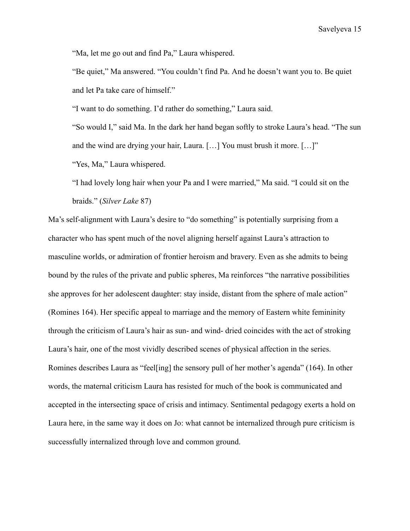"Ma, let me go out and find Pa," Laura whispered.

"Be quiet," Ma answered. "You couldn't find Pa. And he doesn't want you to. Be quiet and let Pa take care of himself."

"I want to do something. I'd rather do something," Laura said.

"So would I," said Ma. In the dark her hand began softly to stroke Laura's head. "The sun and the wind are drying your hair, Laura. […] You must brush it more. […]"

"Yes, Ma," Laura whispered.

"I had lovely long hair when your Pa and I were married," Ma said. "I could sit on the braids." (*Silver Lake* 87)

Ma's self-alignment with Laura's desire to "do something" is potentially surprising from a character who has spent much of the novel aligning herself against Laura's attraction to masculine worlds, or admiration of frontier heroism and bravery. Even as she admits to being bound by the rules of the private and public spheres, Ma reinforces "the narrative possibilities she approves for her adolescent daughter: stay inside, distant from the sphere of male action" (Romines 164). Her specific appeal to marriage and the memory of Eastern white femininity through the criticism of Laura's hair as sun- and wind- dried coincides with the act of stroking Laura's hair, one of the most vividly described scenes of physical affection in the series. Romines describes Laura as "feel[ing] the sensory pull of her mother's agenda" (164). In other words, the maternal criticism Laura has resisted for much of the book is communicated and accepted in the intersecting space of crisis and intimacy. Sentimental pedagogy exerts a hold on Laura here, in the same way it does on Jo: what cannot be internalized through pure criticism is successfully internalized through love and common ground.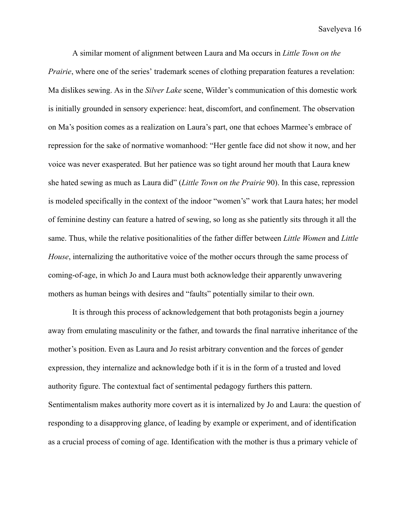A similar moment of alignment between Laura and Ma occurs in *Little Town on the Prairie*, where one of the series' trademark scenes of clothing preparation features a revelation: Ma dislikes sewing. As in the *Silver Lake* scene, Wilder's communication of this domestic work is initially grounded in sensory experience: heat, discomfort, and confinement. The observation on Ma's position comes as a realization on Laura's part, one that echoes Marmee's embrace of repression for the sake of normative womanhood: "Her gentle face did not show it now, and her voice was never exasperated. But her patience was so tight around her mouth that Laura knew she hated sewing as much as Laura did" (*Little Town on the Prairie* 90). In this case, repression is modeled specifically in the context of the indoor "women's" work that Laura hates; her model of feminine destiny can feature a hatred of sewing, so long as she patiently sits through it all the same. Thus, while the relative positionalities of the father differ between *Little Women* and *Little House*, internalizing the authoritative voice of the mother occurs through the same process of coming-of-age, in which Jo and Laura must both acknowledge their apparently unwavering mothers as human beings with desires and "faults" potentially similar to their own.

It is through this process of acknowledgement that both protagonists begin a journey away from emulating masculinity or the father, and towards the final narrative inheritance of the mother's position. Even as Laura and Jo resist arbitrary convention and the forces of gender expression, they internalize and acknowledge both if it is in the form of a trusted and loved authority figure. The contextual fact of sentimental pedagogy furthers this pattern. Sentimentalism makes authority more covert as it is internalized by Jo and Laura: the question of responding to a disapproving glance, of leading by example or experiment, and of identification as a crucial process of coming of age. Identification with the mother is thus a primary vehicle of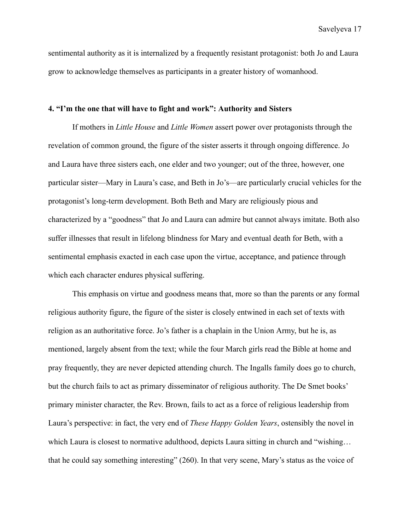sentimental authority as it is internalized by a frequently resistant protagonist: both Jo and Laura grow to acknowledge themselves as participants in a greater history of womanhood.

### **4. "I'm the one that will have to fight and work": Authority and Sisters**

If mothers in *Little House* and *Little Women* assert power over protagonists through the revelation of common ground, the figure of the sister asserts it through ongoing difference. Jo and Laura have three sisters each, one elder and two younger; out of the three, however, one particular sister—Mary in Laura's case, and Beth in Jo's—are particularly crucial vehicles for the protagonist's long-term development. Both Beth and Mary are religiously pious and characterized by a "goodness" that Jo and Laura can admire but cannot always imitate. Both also suffer illnesses that result in lifelong blindness for Mary and eventual death for Beth, with a sentimental emphasis exacted in each case upon the virtue, acceptance, and patience through which each character endures physical suffering.

This emphasis on virtue and goodness means that, more so than the parents or any formal religious authority figure, the figure of the sister is closely entwined in each set of texts with religion as an authoritative force. Jo's father is a chaplain in the Union Army, but he is, as mentioned, largely absent from the text; while the four March girls read the Bible at home and pray frequently, they are never depicted attending church. The Ingalls family does go to church, but the church fails to act as primary disseminator of religious authority. The De Smet books' primary minister character, the Rev. Brown, fails to act as a force of religious leadership from Laura's perspective: in fact, the very end of *These Happy Golden Years*, ostensibly the novel in which Laura is closest to normative adulthood, depicts Laura sitting in church and "wishing... that he could say something interesting" (260). In that very scene, Mary's status as the voice of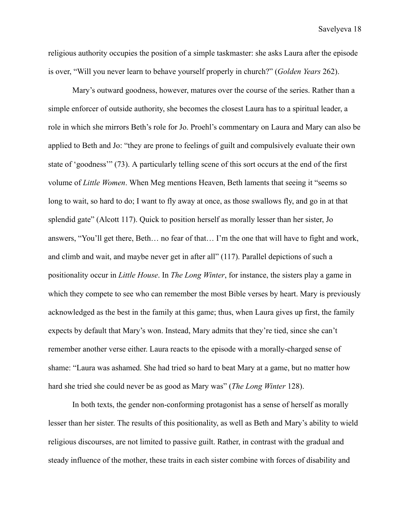religious authority occupies the position of a simple taskmaster: she asks Laura after the episode is over, "Will you never learn to behave yourself properly in church?" (*Golden Years* 262).

Mary's outward goodness, however, matures over the course of the series. Rather than a simple enforcer of outside authority, she becomes the closest Laura has to a spiritual leader, a role in which she mirrors Beth's role for Jo. Proehl's commentary on Laura and Mary can also be applied to Beth and Jo: "they are prone to feelings of guilt and compulsively evaluate their own state of 'goodness'" (73). A particularly telling scene of this sort occurs at the end of the first volume of *Little Women*. When Meg mentions Heaven, Beth laments that seeing it "seems so long to wait, so hard to do; I want to fly away at once, as those swallows fly, and go in at that splendid gate" (Alcott 117). Quick to position herself as morally lesser than her sister, Jo answers, "You'll get there, Beth… no fear of that… I'm the one that will have to fight and work, and climb and wait, and maybe never get in after all" (117). Parallel depictions of such a positionality occur in *Little House*. In *The Long Winter*, for instance, the sisters play a game in which they compete to see who can remember the most Bible verses by heart. Mary is previously acknowledged as the best in the family at this game; thus, when Laura gives up first, the family expects by default that Mary's won. Instead, Mary admits that they're tied, since she can't remember another verse either. Laura reacts to the episode with a morally-charged sense of shame: "Laura was ashamed. She had tried so hard to beat Mary at a game, but no matter how hard she tried she could never be as good as Mary was" (*The Long Winter* 128).

In both texts, the gender non-conforming protagonist has a sense of herself as morally lesser than her sister. The results of this positionality, as well as Beth and Mary's ability to wield religious discourses, are not limited to passive guilt. Rather, in contrast with the gradual and steady influence of the mother, these traits in each sister combine with forces of disability and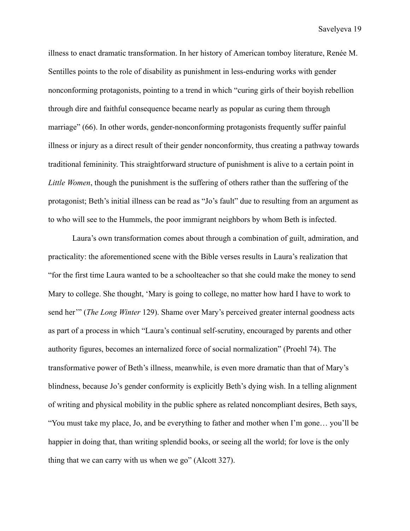illness to enact dramatic transformation. In her history of American tomboy literature, Renée M. Sentilles points to the role of disability as punishment in less-enduring works with gender nonconforming protagonists, pointing to a trend in which "curing girls of their boyish rebellion through dire and faithful consequence became nearly as popular as curing them through marriage" (66). In other words, gender-nonconforming protagonists frequently suffer painful illness or injury as a direct result of their gender nonconformity, thus creating a pathway towards traditional femininity. This straightforward structure of punishment is alive to a certain point in *Little Women*, though the punishment is the suffering of others rather than the suffering of the protagonist; Beth's initial illness can be read as "Jo's fault" due to resulting from an argument as to who will see to the Hummels, the poor immigrant neighbors by whom Beth is infected.

Laura's own transformation comes about through a combination of guilt, admiration, and practicality: the aforementioned scene with the Bible verses results in Laura's realization that "for the first time Laura wanted to be a schoolteacher so that she could make the money to send Mary to college. She thought, 'Mary is going to college, no matter how hard I have to work to send her'" (*The Long Winter* 129). Shame over Mary's perceived greater internal goodness acts as part of a process in which "Laura's continual self-scrutiny, encouraged by parents and other authority figures, becomes an internalized force of social normalization" (Proehl 74). The transformative power of Beth's illness, meanwhile, is even more dramatic than that of Mary's blindness, because Jo's gender conformity is explicitly Beth's dying wish. In a telling alignment of writing and physical mobility in the public sphere as related noncompliant desires, Beth says, "You must take my place, Jo, and be everything to father and mother when I'm gone… you'll be happier in doing that, than writing splendid books, or seeing all the world; for love is the only thing that we can carry with us when we go" (Alcott 327).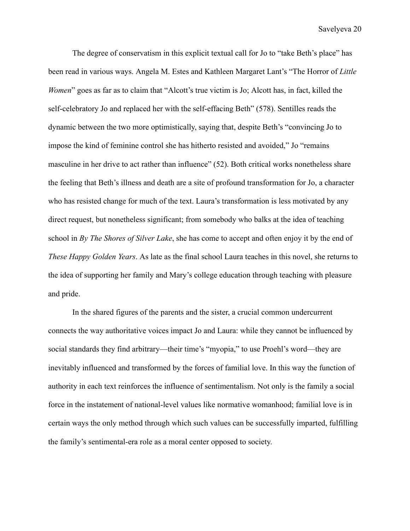The degree of conservatism in this explicit textual call for Jo to "take Beth's place" has been read in various ways. Angela M. Estes and Kathleen Margaret Lant's "The Horror of *Little Women*" goes as far as to claim that "Alcott's true victim is Jo; Alcott has, in fact, killed the self-celebratory Jo and replaced her with the self-effacing Beth" (578). Sentilles reads the dynamic between the two more optimistically, saying that, despite Beth's "convincing Jo to impose the kind of feminine control she has hitherto resisted and avoided," Jo "remains masculine in her drive to act rather than influence" (52). Both critical works nonetheless share the feeling that Beth's illness and death are a site of profound transformation for Jo, a character who has resisted change for much of the text. Laura's transformation is less motivated by any direct request, but nonetheless significant; from somebody who balks at the idea of teaching school in *By The Shores of Silver Lake*, she has come to accept and often enjoy it by the end of *These Happy Golden Years*. As late as the final school Laura teaches in this novel, she returns to the idea of supporting her family and Mary's college education through teaching with pleasure and pride.

In the shared figures of the parents and the sister, a crucial common undercurrent connects the way authoritative voices impact Jo and Laura: while they cannot be influenced by social standards they find arbitrary—their time's "myopia," to use Proehl's word—they are inevitably influenced and transformed by the forces of familial love. In this way the function of authority in each text reinforces the influence of sentimentalism. Not only is the family a social force in the instatement of national-level values like normative womanhood; familial love is in certain ways the only method through which such values can be successfully imparted, fulfilling the family's sentimental-era role as a moral center opposed to society.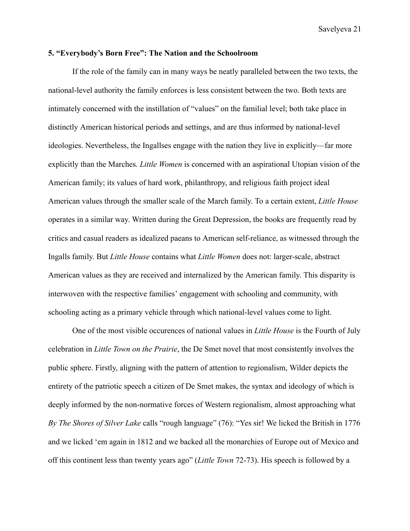#### **5. "Everybody's Born Free": The Nation and the Schoolroom**

If the role of the family can in many ways be neatly paralleled between the two texts, the national-level authority the family enforces is less consistent between the two. Both texts are intimately concerned with the instillation of "values" on the familial level; both take place in distinctly American historical periods and settings, and are thus informed by national-level ideologies. Nevertheless, the Ingallses engage with the nation they live in explicitly—far more explicitly than the Marches. *Little Women* is concerned with an aspirational Utopian vision of the American family; its values of hard work, philanthropy, and religious faith project ideal American values through the smaller scale of the March family. To a certain extent, *Little House* operates in a similar way. Written during the Great Depression, the books are frequently read by critics and casual readers as idealized paeans to American self-reliance, as witnessed through the Ingalls family. But *Little House* contains what *Little Women* does not: larger-scale, abstract American values as they are received and internalized by the American family. This disparity is interwoven with the respective families' engagement with schooling and community, with schooling acting as a primary vehicle through which national-level values come to light.

One of the most visible occurences of national values in *Little House* is the Fourth of July celebration in *Little Town on the Prairie*, the De Smet novel that most consistently involves the public sphere. Firstly, aligning with the pattern of attention to regionalism, Wilder depicts the entirety of the patriotic speech a citizen of De Smet makes, the syntax and ideology of which is deeply informed by the non-normative forces of Western regionalism, almost approaching what *By The Shores of Silver Lake* calls "rough language" (76): "Yes sir! We licked the British in 1776 and we licked 'em again in 1812 and we backed all the monarchies of Europe out of Mexico and off this continent less than twenty years ago" (*Little Town* 72-73). His speech is followed by a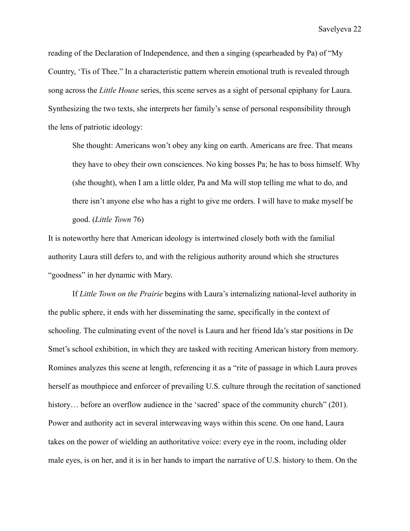reading of the Declaration of Independence, and then a singing (spearheaded by Pa) of "My Country, 'Tis of Thee." In a characteristic pattern wherein emotional truth is revealed through song across the *Little House* series, this scene serves as a sight of personal epiphany for Laura. Synthesizing the two texts, she interprets her family's sense of personal responsibility through the lens of patriotic ideology:

She thought: Americans won't obey any king on earth. Americans are free. That means they have to obey their own consciences. No king bosses Pa; he has to boss himself. Why (she thought), when I am a little older, Pa and Ma will stop telling me what to do, and there isn't anyone else who has a right to give me orders. I will have to make myself be good. (*Little Town* 76)

It is noteworthy here that American ideology is intertwined closely both with the familial authority Laura still defers to, and with the religious authority around which she structures "goodness" in her dynamic with Mary.

If *Little Town on the Prairie* begins with Laura's internalizing national-level authority in the public sphere, it ends with her disseminating the same, specifically in the context of schooling. The culminating event of the novel is Laura and her friend Ida's star positions in De Smet's school exhibition, in which they are tasked with reciting American history from memory. Romines analyzes this scene at length, referencing it as a "rite of passage in which Laura proves herself as mouthpiece and enforcer of prevailing U.S. culture through the recitation of sanctioned history... before an overflow audience in the 'sacred' space of the community church" (201). Power and authority act in several interweaving ways within this scene. On one hand, Laura takes on the power of wielding an authoritative voice: every eye in the room, including older male eyes, is on her, and it is in her hands to impart the narrative of U.S. history to them. On the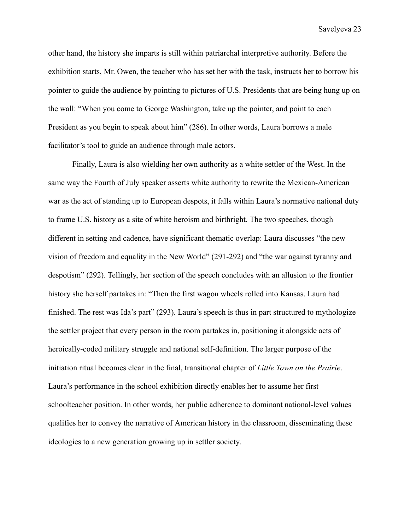other hand, the history she imparts is still within patriarchal interpretive authority. Before the exhibition starts, Mr. Owen, the teacher who has set her with the task, instructs her to borrow his pointer to guide the audience by pointing to pictures of U.S. Presidents that are being hung up on the wall: "When you come to George Washington, take up the pointer, and point to each President as you begin to speak about him" (286). In other words, Laura borrows a male facilitator's tool to guide an audience through male actors.

Finally, Laura is also wielding her own authority as a white settler of the West. In the same way the Fourth of July speaker asserts white authority to rewrite the Mexican-American war as the act of standing up to European despots, it falls within Laura's normative national duty to frame U.S. history as a site of white heroism and birthright. The two speeches, though different in setting and cadence, have significant thematic overlap: Laura discusses "the new vision of freedom and equality in the New World" (291-292) and "the war against tyranny and despotism" (292). Tellingly, her section of the speech concludes with an allusion to the frontier history she herself partakes in: "Then the first wagon wheels rolled into Kansas. Laura had finished. The rest was Ida's part" (293). Laura's speech is thus in part structured to mythologize the settler project that every person in the room partakes in, positioning it alongside acts of heroically-coded military struggle and national self-definition. The larger purpose of the initiation ritual becomes clear in the final, transitional chapter of *Little Town on the Prairie*. Laura's performance in the school exhibition directly enables her to assume her first schoolteacher position. In other words, her public adherence to dominant national-level values qualifies her to convey the narrative of American history in the classroom, disseminating these ideologies to a new generation growing up in settler society.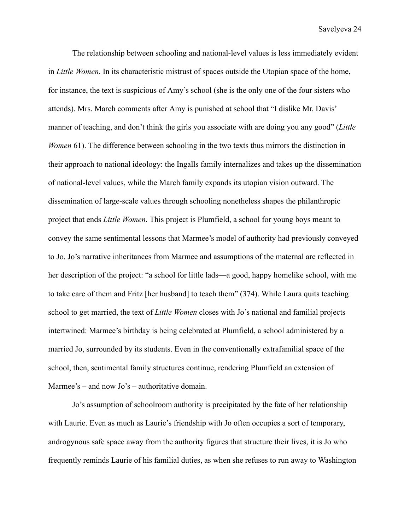The relationship between schooling and national-level values is less immediately evident in *Little Women*. In its characteristic mistrust of spaces outside the Utopian space of the home, for instance, the text is suspicious of Amy's school (she is the only one of the four sisters who attends). Mrs. March comments after Amy is punished at school that "I dislike Mr. Davis' manner of teaching, and don't think the girls you associate with are doing you any good" (*Little Women* 61). The difference between schooling in the two texts thus mirrors the distinction in their approach to national ideology: the Ingalls family internalizes and takes up the dissemination of national-level values, while the March family expands its utopian vision outward. The dissemination of large-scale values through schooling nonetheless shapes the philanthropic project that ends *Little Women*. This project is Plumfield, a school for young boys meant to convey the same sentimental lessons that Marmee's model of authority had previously conveyed to Jo. Jo's narrative inheritances from Marmee and assumptions of the maternal are reflected in her description of the project: "a school for little lads—a good, happy homelike school, with me to take care of them and Fritz [her husband] to teach them" (374). While Laura quits teaching school to get married, the text of *Little Women* closes with Jo's national and familial projects intertwined: Marmee's birthday is being celebrated at Plumfield, a school administered by a married Jo, surrounded by its students. Even in the conventionally extrafamilial space of the school, then, sentimental family structures continue, rendering Plumfield an extension of Marmee's – and now Jo's – authoritative domain.

Jo's assumption of schoolroom authority is precipitated by the fate of her relationship with Laurie. Even as much as Laurie's friendship with Jo often occupies a sort of temporary, androgynous safe space away from the authority figures that structure their lives, it is Jo who frequently reminds Laurie of his familial duties, as when she refuses to run away to Washington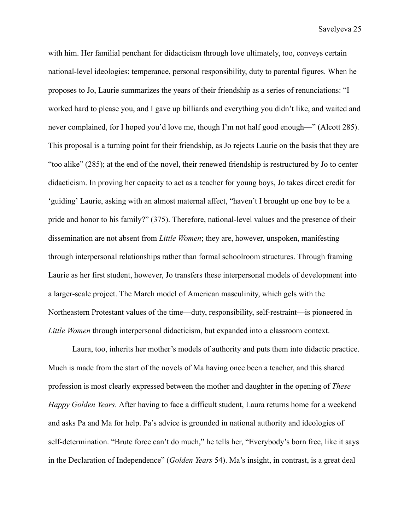with him. Her familial penchant for didacticism through love ultimately, too, conveys certain national-level ideologies: temperance, personal responsibility, duty to parental figures. When he proposes to Jo, Laurie summarizes the years of their friendship as a series of renunciations: "I worked hard to please you, and I gave up billiards and everything you didn't like, and waited and never complained, for I hoped you'd love me, though I'm not half good enough—" (Alcott 285). This proposal is a turning point for their friendship, as Jo rejects Laurie on the basis that they are "too alike" (285); at the end of the novel, their renewed friendship is restructured by Jo to center didacticism. In proving her capacity to act as a teacher for young boys, Jo takes direct credit for 'guiding' Laurie, asking with an almost maternal affect, "haven't I brought up one boy to be a pride and honor to his family?" (375). Therefore, national-level values and the presence of their dissemination are not absent from *Little Women*; they are, however, unspoken, manifesting through interpersonal relationships rather than formal schoolroom structures. Through framing Laurie as her first student, however, Jo transfers these interpersonal models of development into a larger-scale project. The March model of American masculinity, which gels with the Northeastern Protestant values of the time—duty, responsibility, self-restraint—is pioneered in *Little Women* through interpersonal didacticism, but expanded into a classroom context.

Laura, too, inherits her mother's models of authority and puts them into didactic practice. Much is made from the start of the novels of Ma having once been a teacher, and this shared profession is most clearly expressed between the mother and daughter in the opening of *These Happy Golden Years*. After having to face a difficult student, Laura returns home for a weekend and asks Pa and Ma for help. Pa's advice is grounded in national authority and ideologies of self-determination. "Brute force can't do much," he tells her, "Everybody's born free, like it says in the Declaration of Independence" (*Golden Years* 54). Ma's insight, in contrast, is a great deal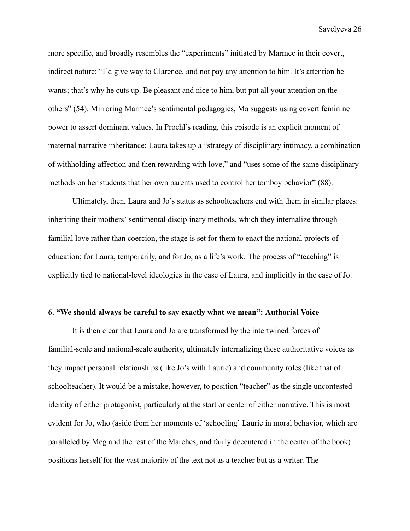more specific, and broadly resembles the "experiments" initiated by Marmee in their covert, indirect nature: "I'd give way to Clarence, and not pay any attention to him. It's attention he wants; that's why he cuts up. Be pleasant and nice to him, but put all your attention on the others" (54). Mirroring Marmee's sentimental pedagogies, Ma suggests using covert feminine power to assert dominant values. In Proehl's reading, this episode is an explicit moment of maternal narrative inheritance; Laura takes up a "strategy of disciplinary intimacy, a combination of withholding affection and then rewarding with love," and "uses some of the same disciplinary methods on her students that her own parents used to control her tomboy behavior" (88).

Ultimately, then, Laura and Jo's status as schoolteachers end with them in similar places: inheriting their mothers' sentimental disciplinary methods, which they internalize through familial love rather than coercion, the stage is set for them to enact the national projects of education; for Laura, temporarily, and for Jo, as a life's work. The process of "teaching" is explicitly tied to national-level ideologies in the case of Laura, and implicitly in the case of Jo.

## **6. "We should always be careful to say exactly what we mean": Authorial Voice**

It is then clear that Laura and Jo are transformed by the intertwined forces of familial-scale and national-scale authority, ultimately internalizing these authoritative voices as they impact personal relationships (like Jo's with Laurie) and community roles (like that of schoolteacher). It would be a mistake, however, to position "teacher" as the single uncontested identity of either protagonist, particularly at the start or center of either narrative. This is most evident for Jo, who (aside from her moments of 'schooling' Laurie in moral behavior, which are paralleled by Meg and the rest of the Marches, and fairly decentered in the center of the book) positions herself for the vast majority of the text not as a teacher but as a writer. The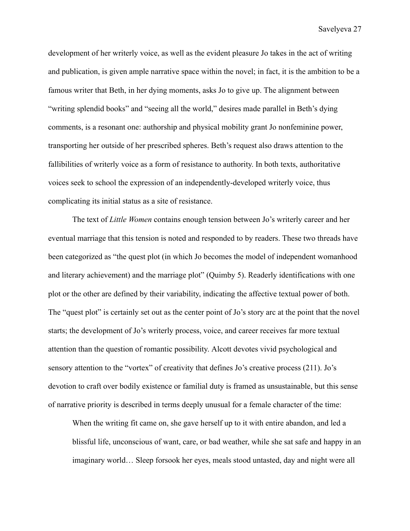development of her writerly voice, as well as the evident pleasure Jo takes in the act of writing and publication, is given ample narrative space within the novel; in fact, it is the ambition to be a famous writer that Beth, in her dying moments, asks Jo to give up. The alignment between "writing splendid books" and "seeing all the world," desires made parallel in Beth's dying comments, is a resonant one: authorship and physical mobility grant Jo nonfeminine power, transporting her outside of her prescribed spheres. Beth's request also draws attention to the fallibilities of writerly voice as a form of resistance to authority. In both texts, authoritative voices seek to school the expression of an independently-developed writerly voice, thus complicating its initial status as a site of resistance.

The text of *Little Women* contains enough tension between Jo's writerly career and her eventual marriage that this tension is noted and responded to by readers. These two threads have been categorized as "the quest plot (in which Jo becomes the model of independent womanhood and literary achievement) and the marriage plot" (Quimby 5). Readerly identifications with one plot or the other are defined by their variability, indicating the affective textual power of both. The "quest plot" is certainly set out as the center point of Jo's story arc at the point that the novel starts; the development of Jo's writerly process, voice, and career receives far more textual attention than the question of romantic possibility. Alcott devotes vivid psychological and sensory attention to the "vortex" of creativity that defines Jo's creative process (211). Jo's devotion to craft over bodily existence or familial duty is framed as unsustainable, but this sense of narrative priority is described in terms deeply unusual for a female character of the time:

When the writing fit came on, she gave herself up to it with entire abandon, and led a blissful life, unconscious of want, care, or bad weather, while she sat safe and happy in an imaginary world… Sleep forsook her eyes, meals stood untasted, day and night were all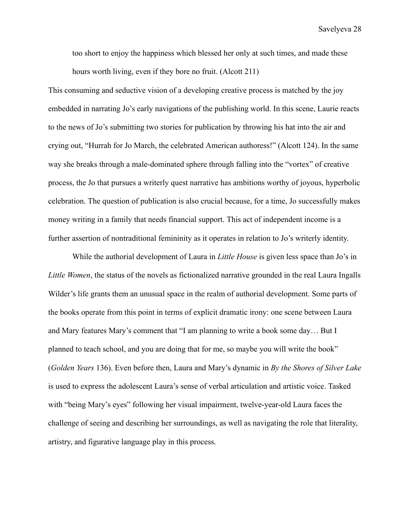too short to enjoy the happiness which blessed her only at such times, and made these hours worth living, even if they bore no fruit. (Alcott 211)

This consuming and seductive vision of a developing creative process is matched by the joy embedded in narrating Jo's early navigations of the publishing world. In this scene, Laurie reacts to the news of Jo's submitting two stories for publication by throwing his hat into the air and crying out, "Hurrah for Jo March, the celebrated American authoress!" (Alcott 124). In the same way she breaks through a male-dominated sphere through falling into the "vortex" of creative process, the Jo that pursues a writerly quest narrative has ambitions worthy of joyous, hyperbolic celebration. The question of publication is also crucial because, for a time, Jo successfully makes money writing in a family that needs financial support. This act of independent income is a further assertion of nontraditional femininity as it operates in relation to Jo's writerly identity.

While the authorial development of Laura in *Little House* is given less space than Jo's in *Little Women*, the status of the novels as fictionalized narrative grounded in the real Laura Ingalls Wilder's life grants them an unusual space in the realm of authorial development. Some parts of the books operate from this point in terms of explicit dramatic irony: one scene between Laura and Mary features Mary's comment that "I am planning to write a book some day… But I planned to teach school, and you are doing that for me, so maybe you will write the book" (*Golden Years* 136). Even before then, Laura and Mary's dynamic in *By the Shores of Silver Lake* is used to express the adolescent Laura's sense of verbal articulation and artistic voice. Tasked with "being Mary's eyes" following her visual impairment, twelve-year-old Laura faces the challenge of seeing and describing her surroundings, as well as navigating the role that literality, artistry, and figurative language play in this process.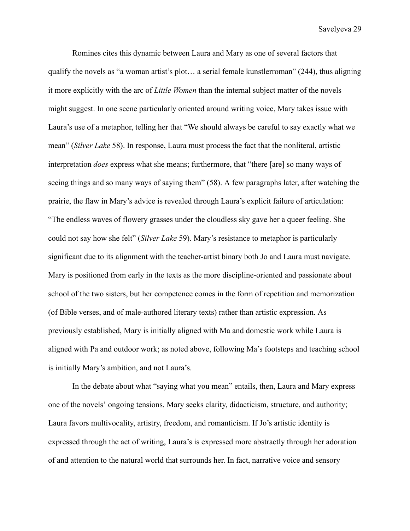Romines cites this dynamic between Laura and Mary as one of several factors that qualify the novels as "a woman artist's plot… a serial female kunstlerroman" (244), thus aligning it more explicitly with the arc of *Little Women* than the internal subject matter of the novels might suggest. In one scene particularly oriented around writing voice, Mary takes issue with Laura's use of a metaphor, telling her that "We should always be careful to say exactly what we mean" (*Silver Lake* 58). In response, Laura must process the fact that the nonliteral, artistic interpretation *does* express what she means; furthermore, that "there [are] so many ways of seeing things and so many ways of saying them" (58). A few paragraphs later, after watching the prairie, the flaw in Mary's advice is revealed through Laura's explicit failure of articulation: "The endless waves of flowery grasses under the cloudless sky gave her a queer feeling. She could not say how she felt" (*Silver Lake* 59). Mary's resistance to metaphor is particularly significant due to its alignment with the teacher-artist binary both Jo and Laura must navigate. Mary is positioned from early in the texts as the more discipline-oriented and passionate about school of the two sisters, but her competence comes in the form of repetition and memorization (of Bible verses, and of male-authored literary texts) rather than artistic expression. As previously established, Mary is initially aligned with Ma and domestic work while Laura is aligned with Pa and outdoor work; as noted above, following Ma's footsteps and teaching school is initially Mary's ambition, and not Laura's.

In the debate about what "saying what you mean" entails, then, Laura and Mary express one of the novels' ongoing tensions. Mary seeks clarity, didacticism, structure, and authority; Laura favors multivocality, artistry, freedom, and romanticism. If Jo's artistic identity is expressed through the act of writing, Laura's is expressed more abstractly through her adoration of and attention to the natural world that surrounds her. In fact, narrative voice and sensory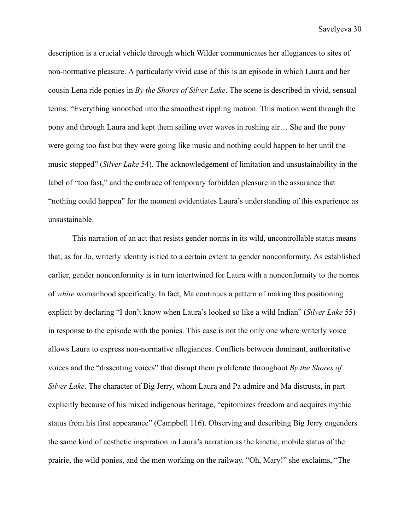description is a crucial vehicle through which Wilder communicates her allegiances to sites of non-normative pleasure. A particularly vivid case of this is an episode in which Laura and her cousin Lena ride ponies in *By the Shores of Silver Lake*. The scene is described in vivid, sensual terms: "Everything smoothed into the smoothest rippling motion. This motion went through the pony and through Laura and kept them sailing over waves in rushing air… She and the pony were going too fast but they were going like music and nothing could happen to her until the music stopped" (*Silver Lake* 54). The acknowledgement of limitation and unsustainability in the label of "too fast," and the embrace of temporary forbidden pleasure in the assurance that "nothing could happen" for the moment evidentiates Laura's understanding of this experience as unsustainable.

This narration of an act that resists gender norms in its wild, uncontrollable status means that, as for Jo, writerly identity is tied to a certain extent to gender nonconformity. As established earlier, gender nonconformity is in turn intertwined for Laura with a nonconformity to the norms of *white* womanhood specifically. In fact, Ma continues a pattern of making this positioning explicit by declaring "I don't know when Laura's looked so like a wild Indian" (*Silver Lake* 55) in response to the episode with the ponies. This case is not the only one where writerly voice allows Laura to express non-normative allegiances. Conflicts between dominant, authoritative voices and the "dissenting voices" that disrupt them proliferate throughout *By the Shores of Silver Lake*. The character of Big Jerry, whom Laura and Pa admire and Ma distrusts, in part explicitly because of his mixed indigenous heritage, "epitomizes freedom and acquires mythic status from his first appearance" (Campbell 116). Observing and describing Big Jerry engenders the same kind of aesthetic inspiration in Laura's narration as the kinetic, mobile status of the prairie, the wild ponies, and the men working on the railway. "Oh, Mary!" she exclaims, "The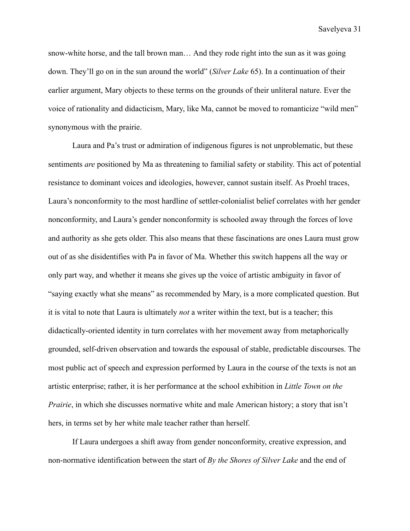snow-white horse, and the tall brown man… And they rode right into the sun as it was going down. They'll go on in the sun around the world" (*Silver Lake* 65). In a continuation of their earlier argument, Mary objects to these terms on the grounds of their unliteral nature. Ever the voice of rationality and didacticism, Mary, like Ma, cannot be moved to romanticize "wild men" synonymous with the prairie.

Laura and Pa's trust or admiration of indigenous figures is not unproblematic, but these sentiments *are* positioned by Ma as threatening to familial safety or stability. This act of potential resistance to dominant voices and ideologies, however, cannot sustain itself. As Proehl traces, Laura's nonconformity to the most hardline of settler-colonialist belief correlates with her gender nonconformity, and Laura's gender nonconformity is schooled away through the forces of love and authority as she gets older. This also means that these fascinations are ones Laura must grow out of as she disidentifies with Pa in favor of Ma. Whether this switch happens all the way or only part way, and whether it means she gives up the voice of artistic ambiguity in favor of "saying exactly what she means" as recommended by Mary, is a more complicated question. But it is vital to note that Laura is ultimately *not* a writer within the text, but is a teacher; this didactically-oriented identity in turn correlates with her movement away from metaphorically grounded, self-driven observation and towards the espousal of stable, predictable discourses. The most public act of speech and expression performed by Laura in the course of the texts is not an artistic enterprise; rather, it is her performance at the school exhibition in *Little Town on the Prairie*, in which she discusses normative white and male American history; a story that isn't hers, in terms set by her white male teacher rather than herself.

If Laura undergoes a shift away from gender nonconformity, creative expression, and non-normative identification between the start of *By the Shores of Silver Lake* and the end of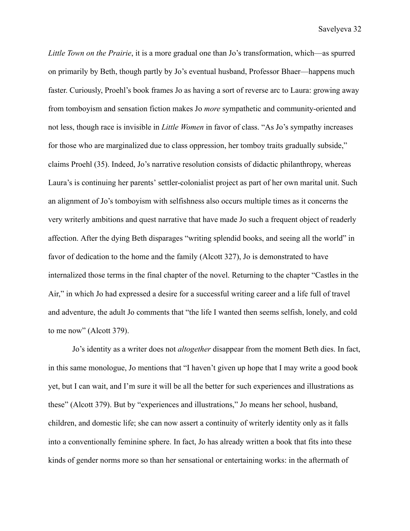*Little Town on the Prairie*, it is a more gradual one than Jo's transformation, which—as spurred on primarily by Beth, though partly by Jo's eventual husband, Professor Bhaer—happens much faster. Curiously, Proehl's book frames Jo as having a sort of reverse arc to Laura: growing away from tomboyism and sensation fiction makes Jo *more* sympathetic and community-oriented and not less, though race is invisible in *Little Women* in favor of class. "As Jo's sympathy increases for those who are marginalized due to class oppression, her tomboy traits gradually subside," claims Proehl (35). Indeed, Jo's narrative resolution consists of didactic philanthropy, whereas Laura's is continuing her parents' settler-colonialist project as part of her own marital unit. Such an alignment of Jo's tomboyism with selfishness also occurs multiple times as it concerns the very writerly ambitions and quest narrative that have made Jo such a frequent object of readerly affection. After the dying Beth disparages "writing splendid books, and seeing all the world" in favor of dedication to the home and the family (Alcott 327), Jo is demonstrated to have internalized those terms in the final chapter of the novel. Returning to the chapter "Castles in the Air," in which Jo had expressed a desire for a successful writing career and a life full of travel and adventure, the adult Jo comments that "the life I wanted then seems selfish, lonely, and cold to me now" (Alcott 379).

Jo's identity as a writer does not *altogether* disappear from the moment Beth dies. In fact, in this same monologue, Jo mentions that "I haven't given up hope that I may write a good book yet, but I can wait, and I'm sure it will be all the better for such experiences and illustrations as these" (Alcott 379). But by "experiences and illustrations," Jo means her school, husband, children, and domestic life; she can now assert a continuity of writerly identity only as it falls into a conventionally feminine sphere. In fact, Jo has already written a book that fits into these kinds of gender norms more so than her sensational or entertaining works: in the aftermath of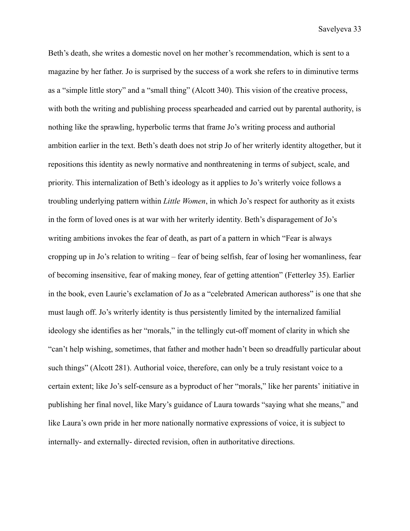Beth's death, she writes a domestic novel on her mother's recommendation, which is sent to a magazine by her father. Jo is surprised by the success of a work she refers to in diminutive terms as a "simple little story" and a "small thing" (Alcott 340). This vision of the creative process, with both the writing and publishing process spearheaded and carried out by parental authority, is nothing like the sprawling, hyperbolic terms that frame Jo's writing process and authorial ambition earlier in the text. Beth's death does not strip Jo of her writerly identity altogether, but it repositions this identity as newly normative and nonthreatening in terms of subject, scale, and priority. This internalization of Beth's ideology as it applies to Jo's writerly voice follows a troubling underlying pattern within *Little Women*, in which Jo's respect for authority as it exists in the form of loved ones is at war with her writerly identity. Beth's disparagement of Jo's writing ambitions invokes the fear of death, as part of a pattern in which "Fear is always cropping up in Jo's relation to writing – fear of being selfish, fear of losing her womanliness, fear of becoming insensitive, fear of making money, fear of getting attention" (Fetterley 35). Earlier in the book, even Laurie's exclamation of Jo as a "celebrated American authoress" is one that she must laugh off. Jo's writerly identity is thus persistently limited by the internalized familial ideology she identifies as her "morals," in the tellingly cut-off moment of clarity in which she "can't help wishing, sometimes, that father and mother hadn't been so dreadfully particular about such things" (Alcott 281). Authorial voice, therefore, can only be a truly resistant voice to a certain extent; like Jo's self-censure as a byproduct of her "morals," like her parents' initiative in publishing her final novel, like Mary's guidance of Laura towards "saying what she means," and like Laura's own pride in her more nationally normative expressions of voice, it is subject to internally- and externally- directed revision, often in authoritative directions.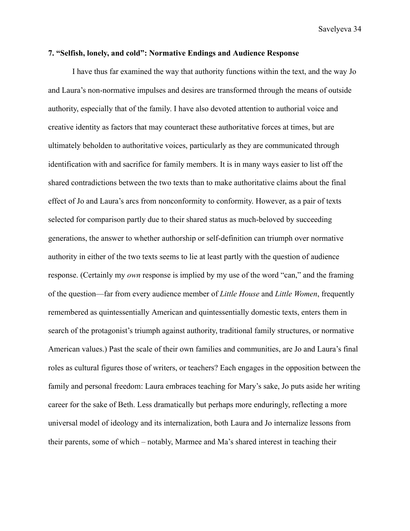### **7. "Selfish, lonely, and cold": Normative Endings and Audience Response**

I have thus far examined the way that authority functions within the text, and the way Jo and Laura's non-normative impulses and desires are transformed through the means of outside authority, especially that of the family. I have also devoted attention to authorial voice and creative identity as factors that may counteract these authoritative forces at times, but are ultimately beholden to authoritative voices, particularly as they are communicated through identification with and sacrifice for family members. It is in many ways easier to list off the shared contradictions between the two texts than to make authoritative claims about the final effect of Jo and Laura's arcs from nonconformity to conformity. However, as a pair of texts selected for comparison partly due to their shared status as much-beloved by succeeding generations, the answer to whether authorship or self-definition can triumph over normative authority in either of the two texts seems to lie at least partly with the question of audience response. (Certainly my *own* response is implied by my use of the word "can," and the framing of the question—far from every audience member of *Little House* and *Little Women*, frequently remembered as quintessentially American and quintessentially domestic texts, enters them in search of the protagonist's triumph against authority, traditional family structures, or normative American values.) Past the scale of their own families and communities, are Jo and Laura's final roles as cultural figures those of writers, or teachers? Each engages in the opposition between the family and personal freedom: Laura embraces teaching for Mary's sake, Jo puts aside her writing career for the sake of Beth. Less dramatically but perhaps more enduringly, reflecting a more universal model of ideology and its internalization, both Laura and Jo internalize lessons from their parents, some of which – notably, Marmee and Ma's shared interest in teaching their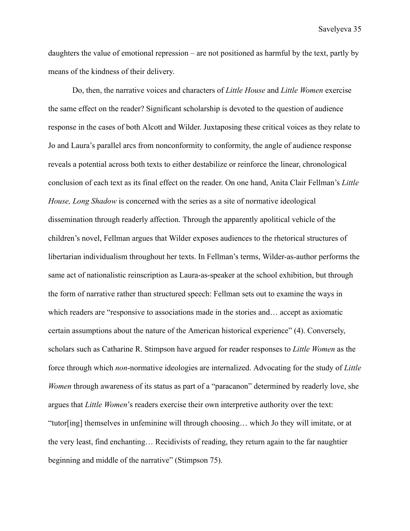daughters the value of emotional repression – are not positioned as harmful by the text, partly by means of the kindness of their delivery.

Do, then, the narrative voices and characters of *Little House* and *Little Women* exercise the same effect on the reader? Significant scholarship is devoted to the question of audience response in the cases of both Alcott and Wilder. Juxtaposing these critical voices as they relate to Jo and Laura's parallel arcs from nonconformity to conformity, the angle of audience response reveals a potential across both texts to either destabilize or reinforce the linear, chronological conclusion of each text as its final effect on the reader. On one hand, Anita Clair Fellman's *Little House, Long Shadow* is concerned with the series as a site of normative ideological dissemination through readerly affection. Through the apparently apolitical vehicle of the children's novel, Fellman argues that Wilder exposes audiences to the rhetorical structures of libertarian individualism throughout her texts. In Fellman's terms, Wilder-as-author performs the same act of nationalistic reinscription as Laura-as-speaker at the school exhibition, but through the form of narrative rather than structured speech: Fellman sets out to examine the ways in which readers are "responsive to associations made in the stories and… accept as axiomatic certain assumptions about the nature of the American historical experience" (4). Conversely, scholars such as Catharine R. Stimpson have argued for reader responses to *Little Women* as the force through which *non*-normative ideologies are internalized. Advocating for the study of *Little Women* through awareness of its status as part of a "paracanon" determined by readerly love, she argues that *Little Women*'s readers exercise their own interpretive authority over the text: "tutor[ing] themselves in unfeminine will through choosing… which Jo they will imitate, or at the very least, find enchanting… Recidivists of reading, they return again to the far naughtier beginning and middle of the narrative" (Stimpson 75).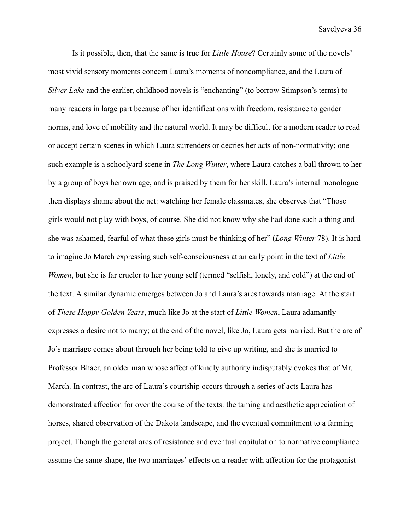Is it possible, then, that the same is true for *Little House*? Certainly some of the novels' most vivid sensory moments concern Laura's moments of noncompliance, and the Laura of *Silver Lake* and the earlier, childhood novels is "enchanting" (to borrow Stimpson's terms) to many readers in large part because of her identifications with freedom, resistance to gender norms, and love of mobility and the natural world. It may be difficult for a modern reader to read or accept certain scenes in which Laura surrenders or decries her acts of non-normativity; one such example is a schoolyard scene in *The Long Winter*, where Laura catches a ball thrown to her by a group of boys her own age, and is praised by them for her skill. Laura's internal monologue then displays shame about the act: watching her female classmates, she observes that "Those girls would not play with boys, of course. She did not know why she had done such a thing and she was ashamed, fearful of what these girls must be thinking of her" (*Long Winter* 78). It is hard to imagine Jo March expressing such self-consciousness at an early point in the text of *Little Women*, but she is far crueler to her young self (termed "selfish, lonely, and cold") at the end of the text. A similar dynamic emerges between Jo and Laura's arcs towards marriage. At the start of *These Happy Golden Years*, much like Jo at the start of *Little Women*, Laura adamantly expresses a desire not to marry; at the end of the novel, like Jo, Laura gets married. But the arc of Jo's marriage comes about through her being told to give up writing, and she is married to Professor Bhaer, an older man whose affect of kindly authority indisputably evokes that of Mr. March. In contrast, the arc of Laura's courtship occurs through a series of acts Laura has demonstrated affection for over the course of the texts: the taming and aesthetic appreciation of horses, shared observation of the Dakota landscape, and the eventual commitment to a farming project. Though the general arcs of resistance and eventual capitulation to normative compliance assume the same shape, the two marriages' effects on a reader with affection for the protagonist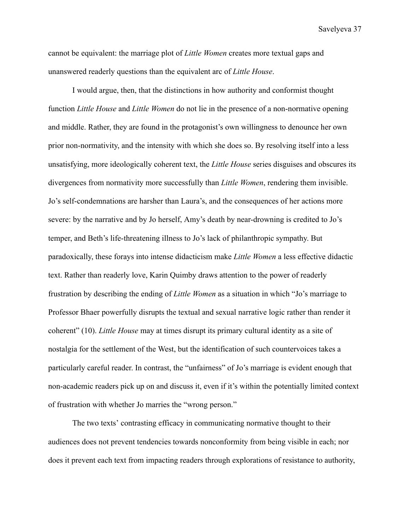cannot be equivalent: the marriage plot of *Little Women* creates more textual gaps and unanswered readerly questions than the equivalent arc of *Little House*.

I would argue, then, that the distinctions in how authority and conformist thought function *Little House* and *Little Women* do not lie in the presence of a non-normative opening and middle. Rather, they are found in the protagonist's own willingness to denounce her own prior non-normativity, and the intensity with which she does so. By resolving itself into a less unsatisfying, more ideologically coherent text, the *Little House* series disguises and obscures its divergences from normativity more successfully than *Little Women*, rendering them invisible. Jo's self-condemnations are harsher than Laura's, and the consequences of her actions more severe: by the narrative and by Jo herself, Amy's death by near-drowning is credited to Jo's temper, and Beth's life-threatening illness to Jo's lack of philanthropic sympathy. But paradoxically, these forays into intense didacticism make *Little Women* a less effective didactic text. Rather than readerly love, Karin Quimby draws attention to the power of readerly frustration by describing the ending of *Little Women* as a situation in which "Jo's marriage to Professor Bhaer powerfully disrupts the textual and sexual narrative logic rather than render it coherent" (10). *Little House* may at times disrupt its primary cultural identity as a site of nostalgia for the settlement of the West, but the identification of such countervoices takes a particularly careful reader. In contrast, the "unfairness" of Jo's marriage is evident enough that non-academic readers pick up on and discuss it, even if it's within the potentially limited context of frustration with whether Jo marries the "wrong person."

The two texts' contrasting efficacy in communicating normative thought to their audiences does not prevent tendencies towards nonconformity from being visible in each; nor does it prevent each text from impacting readers through explorations of resistance to authority,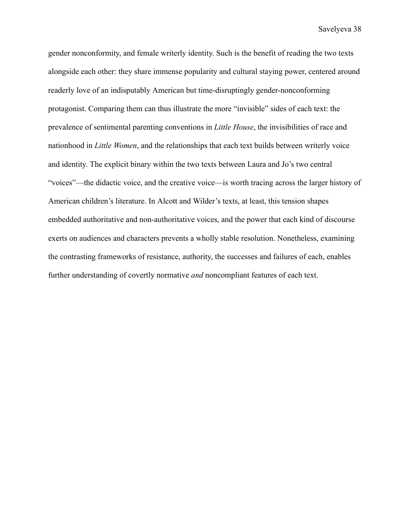gender nonconformity, and female writerly identity. Such is the benefit of reading the two texts alongside each other: they share immense popularity and cultural staying power, centered around readerly love of an indisputably American but time-disruptingly gender-nonconforming protagonist. Comparing them can thus illustrate the more "invisible" sides of each text: the prevalence of sentimental parenting conventions in *Little House*, the invisibilities of race and nationhood in *Little Women*, and the relationships that each text builds between writerly voice and identity. The explicit binary within the two texts between Laura and Jo's two central "voices"—the didactic voice, and the creative voice—is worth tracing across the larger history of American children's literature. In Alcott and Wilder's texts, at least, this tension shapes embedded authoritative and non-authoritative voices, and the power that each kind of discourse exerts on audiences and characters prevents a wholly stable resolution. Nonetheless, examining the contrasting frameworks of resistance, authority, the successes and failures of each, enables further understanding of covertly normative *and* noncompliant features of each text.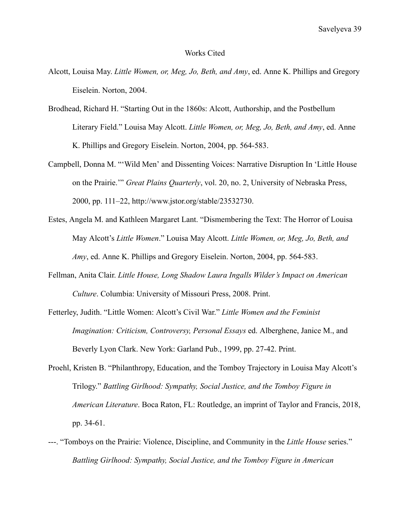#### Works Cited

- Alcott, Louisa May. *Little Women, or, Meg, Jo, Beth, and Amy*, ed. Anne K. Phillips and Gregory Eiselein. Norton, 2004.
- Brodhead, Richard H. "Starting Out in the 1860s: Alcott, Authorship, and the Postbellum Literary Field." Louisa May Alcott. *Little Women, or, Meg, Jo, Beth, and Amy*, ed. Anne K. Phillips and Gregory Eiselein. Norton, 2004, pp. 564-583.
- Campbell, Donna M. "'Wild Men' and Dissenting Voices: Narrative Disruption In 'Little House on the Prairie.'" *Great Plains Quarterly*, vol. 20, no. 2, University of Nebraska Press, 2000, pp. 111–22, http://www.jstor.org/stable/23532730.
- Estes, Angela M. and Kathleen Margaret Lant. "Dismembering the Text: The Horror of Louisa May Alcott's *Little Women*." Louisa May Alcott. *Little Women, or, Meg, Jo, Beth, and Amy*, ed. Anne K. Phillips and Gregory Eiselein. Norton, 2004, pp. 564-583.
- Fellman, Anita Clair. *Little House, Long Shadow Laura Ingalls Wilder's Impact on American Culture*. Columbia: University of Missouri Press, 2008. Print.
- Fetterley, Judith. "Little Women: Alcott's Civil War." *Little Women and the Feminist Imagination: Criticism, Controversy, Personal Essays* ed. Alberghene, Janice M., and Beverly Lyon Clark. New York: Garland Pub., 1999, pp. 27-42. Print.
- Proehl, Kristen B. "Philanthropy, Education, and the Tomboy Trajectory in Louisa May Alcott's Trilogy." *Battling Girlhood: Sympathy, Social Justice, and the Tomboy Figure in American Literature*. Boca Raton, FL: Routledge, an imprint of Taylor and Francis, 2018, pp. 34-61.
- ---. "Tomboys on the Prairie: Violence, Discipline, and Community in the *Little House* series." *Battling Girlhood: Sympathy, Social Justice, and the Tomboy Figure in American*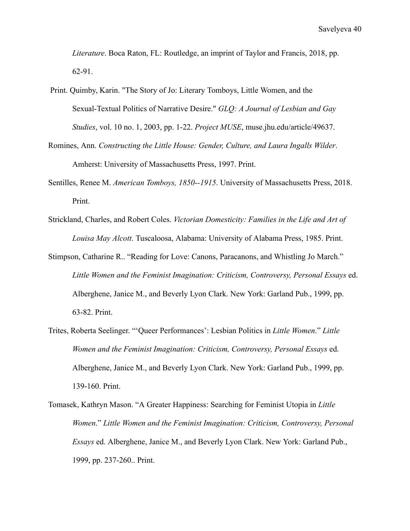*Literature*. Boca Raton, FL: Routledge, an imprint of Taylor and Francis, 2018, pp. 62-91.

- Print. Quimby, Karin. "The Story of Jo: Literary Tomboys, Little Women, and the Sexual-Textual Politics of Narrative Desire." *GLQ: A Journal of Lesbian and Gay Studies*, vol. 10 no. 1, 2003, pp. 1-22. *Project MUSE*, muse.jhu.edu/article/49637.
- Romines, Ann. *Constructing the Little House: Gender, Culture, and Laura Ingalls Wilder*. Amherst: University of Massachusetts Press, 1997. Print.
- Sentilles, Renee M. *American Tomboys, 1850--1915*. University of Massachusetts Press, 2018. Print.
- Strickland, Charles, and Robert Coles. *Victorian Domesticity: Families in the Life and Art of Louisa May Alcott*. Tuscaloosa, Alabama: University of Alabama Press, 1985. Print.
- Stimpson, Catharine R.. "Reading for Love: Canons, Paracanons, and Whistling Jo March." *Little Women and the Feminist Imagination: Criticism, Controversy, Personal Essays* ed. Alberghene, Janice M., and Beverly Lyon Clark. New York: Garland Pub., 1999, pp. 63-82. Print.
- Trites, Roberta Seelinger. "'Queer Performances': Lesbian Politics in *Little Women*." *Little Women and the Feminist Imagination: Criticism, Controversy, Personal Essays* ed. Alberghene, Janice M., and Beverly Lyon Clark. New York: Garland Pub., 1999, pp. 139-160. Print.
- Tomasek, Kathryn Mason. "A Greater Happiness: Searching for Feminist Utopia in *Little Women*." *Little Women and the Feminist Imagination: Criticism, Controversy, Personal Essays* ed. Alberghene, Janice M., and Beverly Lyon Clark. New York: Garland Pub., 1999, pp. 237-260.. Print.